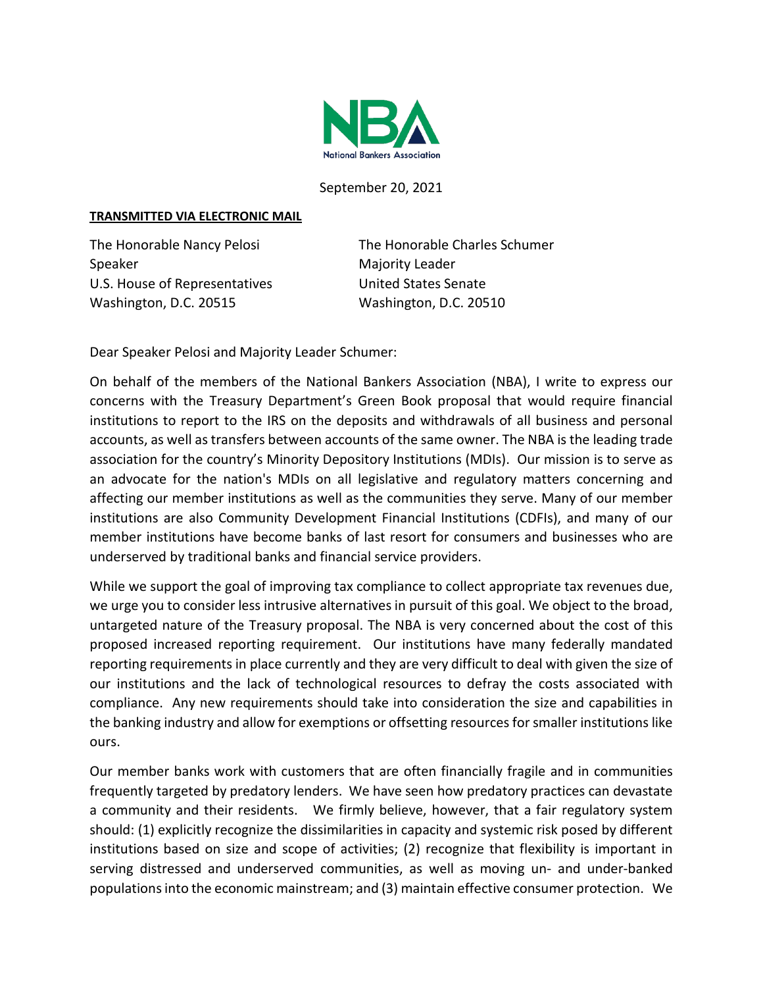

September 20, 2021

## **TRANSMITTED VIA ELECTRONIC MAIL**

Speaker Majority Leader U.S. House of Representatives United States Senate Washington, D.C. 20515 Washington, D.C. 20510

The Honorable Nancy Pelosi The Honorable Charles Schumer

Dear Speaker Pelosi and Majority Leader Schumer:

On behalf of the members of the National Bankers Association (NBA), I write to express our concerns with the Treasury Department's Green Book proposal that would require financial institutions to report to the IRS on the deposits and withdrawals of all business and personal accounts, as well as transfers between accounts of the same owner. The NBA is the leading trade association for the country's Minority Depository Institutions (MDIs). Our mission is to serve as an advocate for the nation's MDIs on all legislative and regulatory matters concerning and affecting our member institutions as well as the communities they serve. Many of our member institutions are also Community Development Financial Institutions (CDFIs), and many of our member institutions have become banks of last resort for consumers and businesses who are underserved by traditional banks and financial service providers.

While we support the goal of improving tax compliance to collect appropriate tax revenues due, we urge you to consider less intrusive alternatives in pursuit of this goal. We object to the broad, untargeted nature of the Treasury proposal. The NBA is very concerned about the cost of this proposed increased reporting requirement. Our institutions have many federally mandated reporting requirements in place currently and they are very difficult to deal with given the size of our institutions and the lack of technological resources to defray the costs associated with compliance. Any new requirements should take into consideration the size and capabilities in the banking industry and allow for exemptions or offsetting resources for smaller institutions like ours.

Our member banks work with customers that are often financially fragile and in communities frequently targeted by predatory lenders. We have seen how predatory practices can devastate a community and their residents. We firmly believe, however, that a fair regulatory system should: (1) explicitly recognize the dissimilarities in capacity and systemic risk posed by different institutions based on size and scope of activities; (2) recognize that flexibility is important in serving distressed and underserved communities, as well as moving un- and under-banked populations into the economic mainstream; and (3) maintain effective consumer protection. We